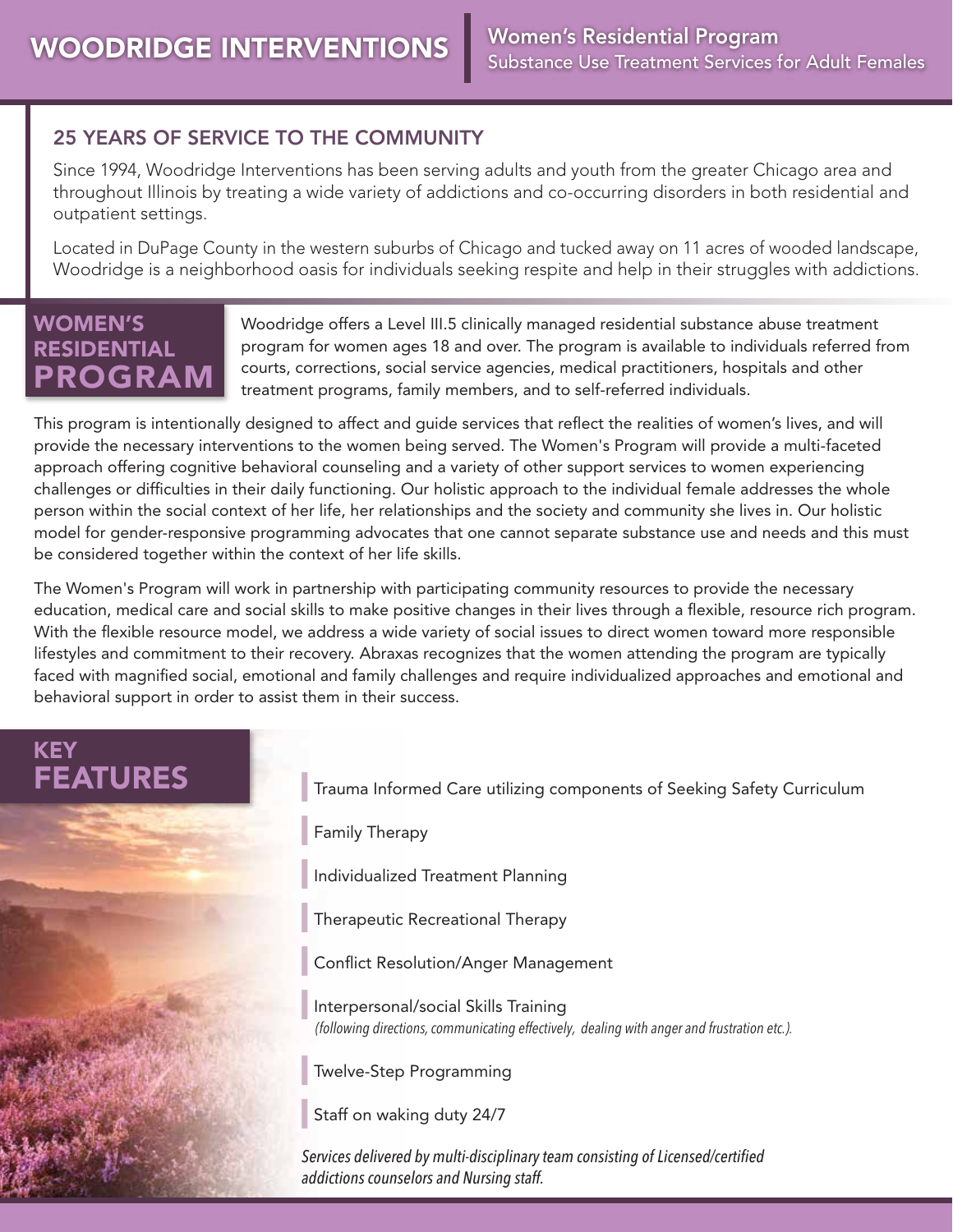#### 25 YEARS OF SERVICE TO THE COMMUNITY

Since 1994, Woodridge Interventions has been serving adults and youth from the greater Chicago area and throughout Illinois by treating a wide variety of addictions and co-occurring disorders in both residential and outpatient settings.

Located in DuPage County in the western suburbs of Chicago and tucked away on 11 acres of wooded landscape, Woodridge is a neighborhood oasis for individuals seeking respite and help in their struggles with addictions.

### WOMEN'S RESIDENTIAL PROGRAM

Woodridge offers a Level III.5 clinically managed residential substance abuse treatment program for women ages 18 and over. The program is available to individuals referred from courts, corrections, social service agencies, medical practitioners, hospitals and other treatment programs, family members, and to self-referred individuals.

This program is intentionally designed to affect and guide services that reflect the realities of women's lives, and will provide the necessary interventions to the women being served. The Women's Program will provide a multi-faceted approach offering cognitive behavioral counseling and a variety of other support services to women experiencing challenges or difficulties in their daily functioning. Our holistic approach to the individual female addresses the whole person within the social context of her life, her relationships and the society and community she lives in. Our holistic model for gender-responsive programming advocates that one cannot separate substance use and needs and this must be considered together within the context of her life skills.

The Women's Program will work in partnership with participating community resources to provide the necessary education, medical care and social skills to make positive changes in their lives through a flexible, resource rich program. With the flexible resource model, we address a wide variety of social issues to direct women toward more responsible lifestyles and commitment to their recovery. Abraxas recognizes that the women attending the program are typically faced with magnified social, emotional and family challenges and require individualized approaches and emotional and behavioral support in order to assist them in their success.

# KEY



**FEATURES** Trauma Informed Care utilizing components of Seeking Safety Curriculum

Family Therapy

❙ Individualized Treatment Planning

❙ Therapeutic Recreational Therapy

❙ Conflict Resolution/Anger Management

❙ Interpersonal/social Skills Training *(following directions, communicating effectively, dealing with anger and frustration etc.).*

Twelve-Step Programming

Staff on waking duty 24/7

*Services delivered by multi-disciplinary team consisting of Licensed/certified addictions counselors and Nursing staff.*